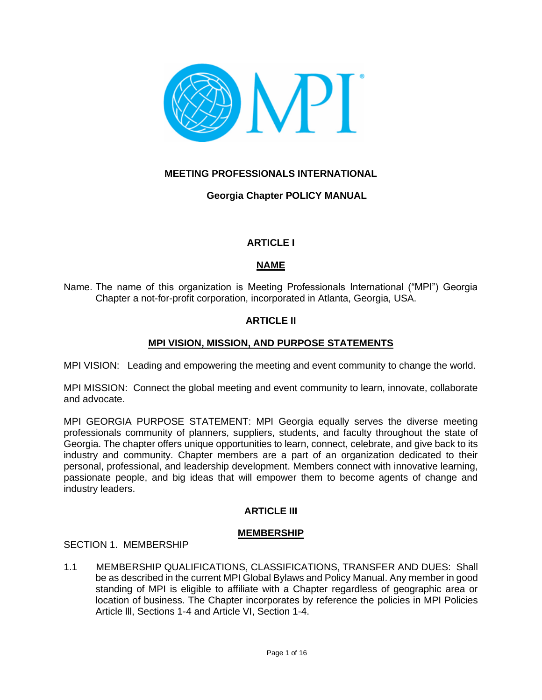

# **MEETING PROFESSIONALS INTERNATIONAL**

**Georgia Chapter POLICY MANUAL**

# **ARTICLE I**

# **NAME**

Name. The name of this organization is Meeting Professionals International ("MPI") Georgia Chapter a not-for-profit corporation, incorporated in Atlanta, Georgia, USA.

# **ARTICLE II**

# **MPI VISION, MISSION, AND PURPOSE STATEMENTS**

MPI VISION: Leading and empowering the meeting and event community to change the world.

MPI MISSION: Connect the global meeting and event community to learn, innovate, collaborate and advocate.

MPI GEORGIA PURPOSE STATEMENT: MPI Georgia equally serves the diverse meeting professionals community of planners, suppliers, students, and faculty throughout the state of Georgia. The chapter offers unique opportunities to learn, connect, celebrate, and give back to its industry and community. Chapter members are a part of an organization dedicated to their personal, professional, and leadership development. Members connect with innovative learning, passionate people, and big ideas that will empower them to become agents of change and industry leaders.

# **ARTICLE III**

## **MEMBERSHIP**

## SECTION 1. MEMBERSHIP

1.1 MEMBERSHIP QUALIFICATIONS, CLASSIFICATIONS, TRANSFER AND DUES: Shall be as described in the current MPI Global Bylaws and Policy Manual. Any member in good standing of MPI is eligible to affiliate with a Chapter regardless of geographic area or location of business. The Chapter incorporates by reference the policies in MPI Policies Article lll, Sections 1-4 and Article VI, Section 1-4.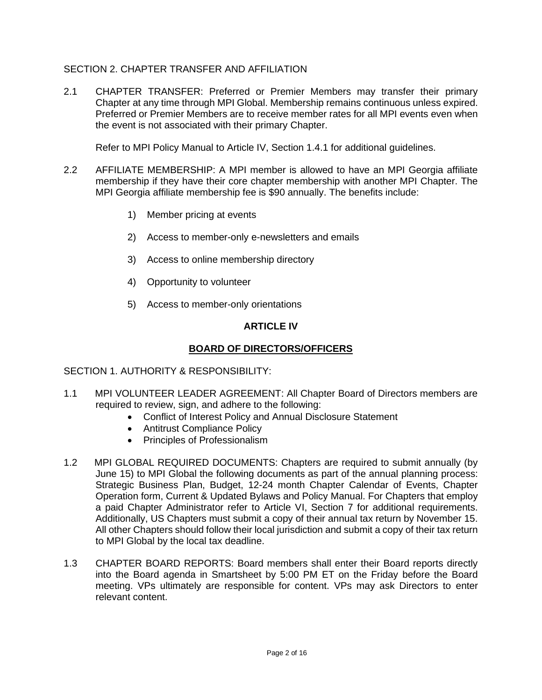# SECTION 2. CHAPTER TRANSFER AND AFFILIATION

2.1 CHAPTER TRANSFER: Preferred or Premier Members may transfer their primary Chapter at any time through MPI Global. Membership remains continuous unless expired. Preferred or Premier Members are to receive member rates for all MPI events even when the event is not associated with their primary Chapter.

Refer to MPI Policy Manual to Article IV, Section 1.4.1 for additional guidelines.

- 2.2 AFFILIATE MEMBERSHIP: A MPI member is allowed to have an MPI Georgia affiliate membership if they have their core chapter membership with another MPI Chapter. The MPI Georgia affiliate membership fee is \$90 annually. The benefits include:
	- 1) Member pricing at events
	- 2) Access to member-only e-newsletters and emails
	- 3) Access to online membership directory
	- 4) Opportunity to volunteer
	- 5) Access to member-only orientations

## **ARTICLE IV**

### **BOARD OF DIRECTORS/OFFICERS**

#### SECTION 1. AUTHORITY & RESPONSIBILITY:

- 1.1 MPI VOLUNTEER LEADER AGREEMENT: All Chapter Board of Directors members are required to review, sign, and adhere to the following:
	- Conflict of Interest Policy and Annual Disclosure Statement
	- Antitrust Compliance Policy
	- Principles of Professionalism
- 1.2 MPI GLOBAL REQUIRED DOCUMENTS: Chapters are required to submit annually (by June 15) to MPI Global the following documents as part of the annual planning process: Strategic Business Plan, Budget, 12-24 month Chapter Calendar of Events, Chapter Operation form, Current & Updated Bylaws and Policy Manual. For Chapters that employ a paid Chapter Administrator refer to Article VI, Section 7 for additional requirements. Additionally, US Chapters must submit a copy of their annual tax return by November 15. All other Chapters should follow their local jurisdiction and submit a copy of their tax return to MPI Global by the local tax deadline.
- 1.3 CHAPTER BOARD REPORTS: Board members shall enter their Board reports directly into the Board agenda in Smartsheet by 5:00 PM ET on the Friday before the Board meeting. VPs ultimately are responsible for content. VPs may ask Directors to enter relevant content.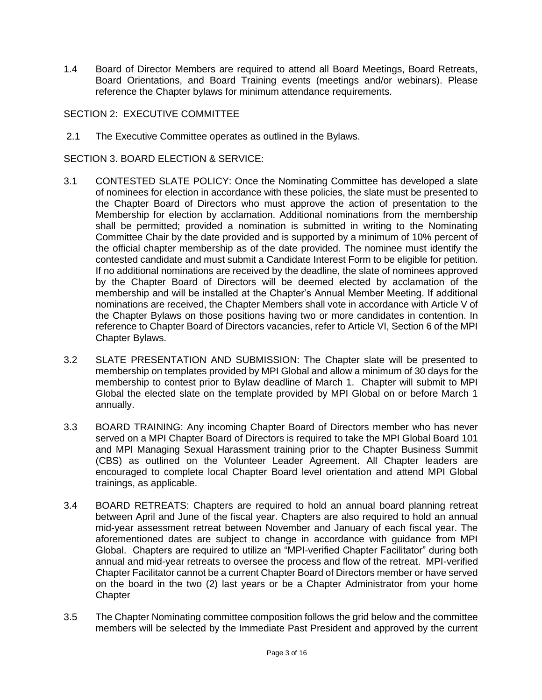1.4 Board of Director Members are required to attend all Board Meetings, Board Retreats, Board Orientations, and Board Training events (meetings and/or webinars). Please reference the Chapter bylaws for minimum attendance requirements.

## SECTION 2: EXECUTIVE COMMITTEE

2.1 The Executive Committee operates as outlined in the Bylaws.

SECTION 3. BOARD ELECTION & SERVICE:

- 3.1 CONTESTED SLATE POLICY: Once the Nominating Committee has developed a slate of nominees for election in accordance with these policies, the slate must be presented to the Chapter Board of Directors who must approve the action of presentation to the Membership for election by acclamation. Additional nominations from the membership shall be permitted; provided a nomination is submitted in writing to the Nominating Committee Chair by the date provided and is supported by a minimum of 10% percent of the official chapter membership as of the date provided. The nominee must identify the contested candidate and must submit a Candidate Interest Form to be eligible for petition. If no additional nominations are received by the deadline, the slate of nominees approved by the Chapter Board of Directors will be deemed elected by acclamation of the membership and will be installed at the Chapter's Annual Member Meeting. If additional nominations are received, the Chapter Members shall vote in accordance with Article V of the Chapter Bylaws on those positions having two or more candidates in contention. In reference to Chapter Board of Directors vacancies, refer to Article VI, Section 6 of the MPI Chapter Bylaws.
- 3.2 SLATE PRESENTATION AND SUBMISSION: The Chapter slate will be presented to membership on templates provided by MPI Global and allow a minimum of 30 days for the membership to contest prior to Bylaw deadline of March 1. Chapter will submit to MPI Global the elected slate on the template provided by MPI Global on or before March 1 annually.
- 3.3 BOARD TRAINING: Any incoming Chapter Board of Directors member who has never served on a MPI Chapter Board of Directors is required to take the MPI Global Board 101 and MPI Managing Sexual Harassment training prior to the Chapter Business Summit (CBS) as outlined on the Volunteer Leader Agreement. All Chapter leaders are encouraged to complete local Chapter Board level orientation and attend MPI Global trainings, as applicable.
- 3.4 BOARD RETREATS: Chapters are required to hold an annual board planning retreat between April and June of the fiscal year. Chapters are also required to hold an annual mid-year assessment retreat between November and January of each fiscal year. The aforementioned dates are subject to change in accordance with guidance from MPI Global. Chapters are required to utilize an "MPI-verified Chapter Facilitator" during both annual and mid-year retreats to oversee the process and flow of the retreat. MPI-verified Chapter Facilitator cannot be a current Chapter Board of Directors member or have served on the board in the two (2) last years or be a Chapter Administrator from your home **Chapter**
- 3.5 The Chapter Nominating committee composition follows the grid below and the committee members will be selected by the Immediate Past President and approved by the current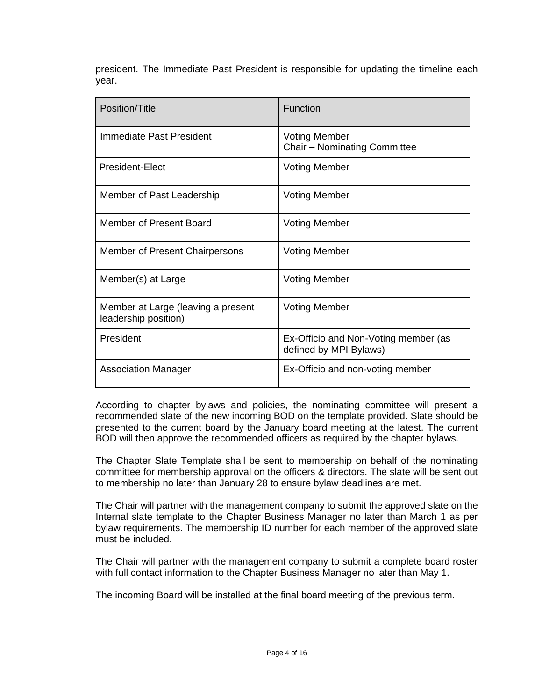|       |  |  | president. The Immediate Past President is responsible for updating the timeline each |  |  |  |
|-------|--|--|---------------------------------------------------------------------------------------|--|--|--|
| vear. |  |  |                                                                                       |  |  |  |

| Position/Title                                             | Function                                                       |
|------------------------------------------------------------|----------------------------------------------------------------|
| Immediate Past President                                   | <b>Voting Member</b><br>Chair - Nominating Committee           |
| President-Elect                                            | <b>Voting Member</b>                                           |
| Member of Past Leadership                                  | <b>Voting Member</b>                                           |
| Member of Present Board                                    | <b>Voting Member</b>                                           |
| Member of Present Chairpersons                             | <b>Voting Member</b>                                           |
| Member(s) at Large                                         | <b>Voting Member</b>                                           |
| Member at Large (leaving a present<br>leadership position) | <b>Voting Member</b>                                           |
| President                                                  | Ex-Officio and Non-Voting member (as<br>defined by MPI Bylaws) |
| <b>Association Manager</b>                                 | Ex-Officio and non-voting member                               |

According to chapter bylaws and policies, the nominating committee will present a recommended slate of the new incoming BOD on the template provided. Slate should be presented to the current board by the January board meeting at the latest. The current BOD will then approve the recommended officers as required by the chapter bylaws.

The Chapter Slate Template shall be sent to membership on behalf of the nominating committee for membership approval on the officers & directors. The slate will be sent out to membership no later than January 28 to ensure bylaw deadlines are met.

The Chair will partner with the management company to submit the approved slate on the Internal slate template to the Chapter Business Manager no later than March 1 as per bylaw requirements. The membership ID number for each member of the approved slate must be included.

The Chair will partner with the management company to submit a complete board roster with full contact information to the Chapter Business Manager no later than May 1.

The incoming Board will be installed at the final board meeting of the previous term.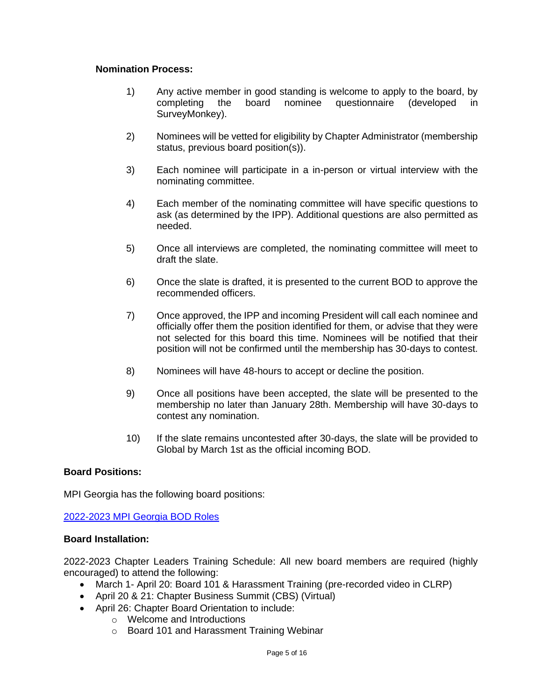### **Nomination Process:**

- 1) Any active member in good standing is welcome to apply to the board, by completing the board nominee questionnaire (developed in SurveyMonkey).
- 2) Nominees will be vetted for eligibility by Chapter Administrator (membership status, previous board position(s)).
- 3) Each nominee will participate in a in-person or virtual interview with the nominating committee.
- 4) Each member of the nominating committee will have specific questions to ask (as determined by the IPP). Additional questions are also permitted as needed.
- 5) Once all interviews are completed, the nominating committee will meet to draft the slate.
- 6) Once the slate is drafted, it is presented to the current BOD to approve the recommended officers.
- 7) Once approved, the IPP and incoming President will call each nominee and officially offer them the position identified for them, or advise that they were not selected for this board this time. Nominees will be notified that their position will not be confirmed until the membership has 30-days to contest.
- 8) Nominees will have 48-hours to accept or decline the position.
- 9) Once all positions have been accepted, the slate will be presented to the membership no later than January 28th. Membership will have 30-days to contest any nomination.
- 10) If the slate remains uncontested after 30-days, the slate will be provided to Global by March 1st as the official incoming BOD.

## **Board Positions:**

MPI Georgia has the following board positions:

[2022-2023 MPI Georgia BOD Roles](https://www.mpi.org/docs/librariesprovider20/default-document-library/2022-23-mpi-board-of-directors-roles---final51d5fb2790c666159a9bff0100288468.pdf?sfvrsn=3e139d5a_0)

#### **Board Installation:**

2022-2023 Chapter Leaders Training Schedule: All new board members are required (highly encouraged) to attend the following:

- March 1- April 20: Board 101 & Harassment Training (pre-recorded video in CLRP)
- April 20 & 21: Chapter Business Summit (CBS) (Virtual)
- April 26: Chapter Board Orientation to include:
	- o Welcome and Introductions
	- o Board 101 and Harassment Training Webinar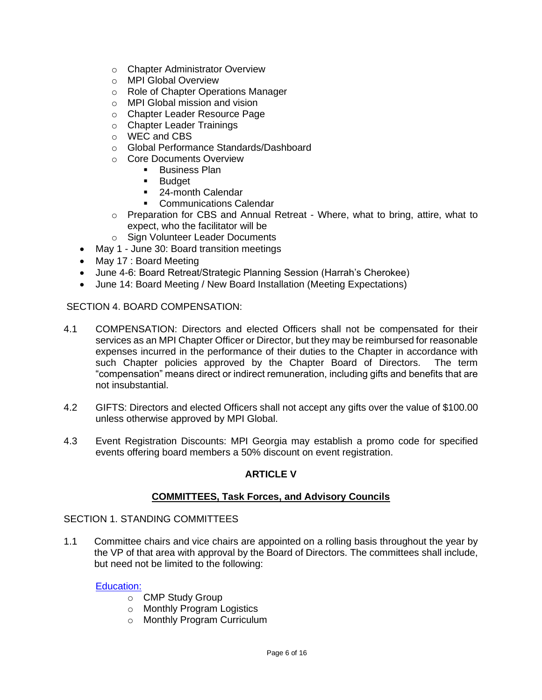- o Chapter Administrator Overview
- o MPI Global Overview
- o Role of Chapter Operations Manager
- o MPI Global mission and vision
- o Chapter Leader Resource Page
- o Chapter Leader Trainings
- o WEC and CBS
- o Global Performance Standards/Dashboard
- o Core Documents Overview
	- **Business Plan** 
		- Budget
		- 24-month Calendar
		- **Communications Calendar**
- $\circ$  Preparation for CBS and Annual Retreat Where, what to bring, attire, what to expect, who the facilitator will be
- o Sign Volunteer Leader Documents
- May 1 June 30: Board transition meetings
- May 17 : Board Meeting
- June 4-6: Board Retreat/Strategic Planning Session (Harrah's Cherokee)
- June 14: Board Meeting / New Board Installation (Meeting Expectations)

SECTION 4. BOARD COMPENSATION:

- 4.1 COMPENSATION: Directors and elected Officers shall not be compensated for their services as an MPI Chapter Officer or Director, but they may be reimbursed for reasonable expenses incurred in the performance of their duties to the Chapter in accordance with such Chapter policies approved by the Chapter Board of Directors. The term "compensation" means direct or indirect remuneration, including gifts and benefits that are not insubstantial.
- 4.2 GIFTS: Directors and elected Officers shall not accept any gifts over the value of \$100.00 unless otherwise approved by MPI Global.
- 4.3 Event Registration Discounts: MPI Georgia may establish a promo code for specified events offering board members a 50% discount on event registration.

## **ARTICLE V**

#### **COMMITTEES, Task Forces, and Advisory Councils**

#### SECTION 1. STANDING COMMITTEES

1.1 Committee chairs and vice chairs are appointed on a rolling basis throughout the year by the VP of that area with approval by the Board of Directors. The committees shall include, but need not be limited to the following:

#### [Education:](https://www.mpi.org/docs/librariesprovider20/default-document-library/education.pdf?sfvrsn=8da9975a_0)

- o CMP Study Group
- o Monthly Program Logistics
- o Monthly Program Curriculum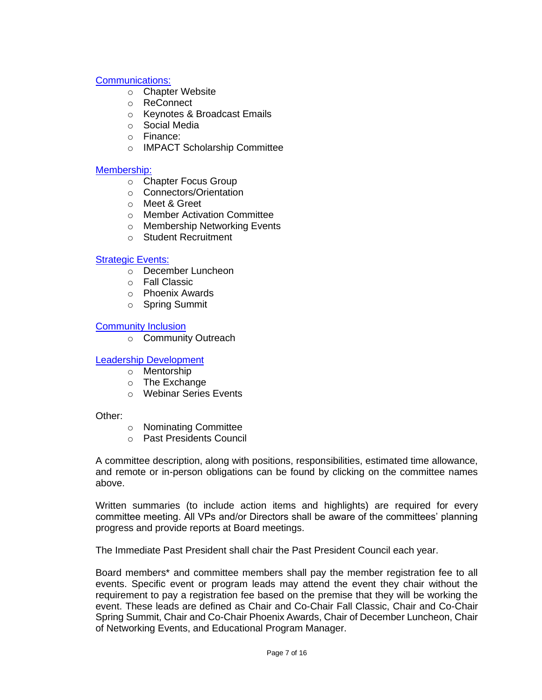## [Communications:](https://www.mpi.org/docs/librariesprovider20/default-document-library/communications.pdf?sfvrsn=aba9975a_0)

- o Chapter Website
- o ReConnect
- o Keynotes & Broadcast Emails
- o Social Media
- o Finance:
- o IMPACT Scholarship Committee

### [Membership:](https://www.mpi.org/docs/librariesprovider20/default-document-library/membership.pdf?sfvrsn=6fb6975a_0)

- o Chapter Focus Group
- o Connectors/Orientation
- o Meet & Greet
- o Member Activation Committee
- o Membership Networking Events
- o Student Recruitment

## [Strategic Events:](https://www.mpi.org/docs/librariesprovider20/default-document-library/strategic-events.pdf?sfvrsn=60b6975a_0)

- o December Luncheon
- o Fall Classic
- o Phoenix Awards
- o Spring Summit

#### [Community Inclusion](https://www.mpi.org/docs/librariesprovider20/default-document-library/community-outreach.pdf?sfvrsn=bca9975a_0)

o Community Outreach

## [Leadership Development](https://www.mpi.org/docs/librariesprovider20/default-document-library/leadership-development.pdf?sfvrsn=9ea9975a_0)

- o Mentorship
- o The Exchange
- o Webinar Series Events

Other:

- o Nominating Committee
- o Past Presidents Council

A committee description, along with positions, responsibilities, estimated time allowance, and remote or in-person obligations can be found by clicking on the committee names above.

Written summaries (to include action items and highlights) are required for every committee meeting. All VPs and/or Directors shall be aware of the committees' planning progress and provide reports at Board meetings.

The Immediate Past President shall chair the Past President Council each year.

Board members\* and committee members shall pay the member registration fee to all events. Specific event or program leads may attend the event they chair without the requirement to pay a registration fee based on the premise that they will be working the event. These leads are defined as Chair and Co-Chair Fall Classic, Chair and Co-Chair Spring Summit, Chair and Co-Chair Phoenix Awards, Chair of December Luncheon, Chair of Networking Events, and Educational Program Manager.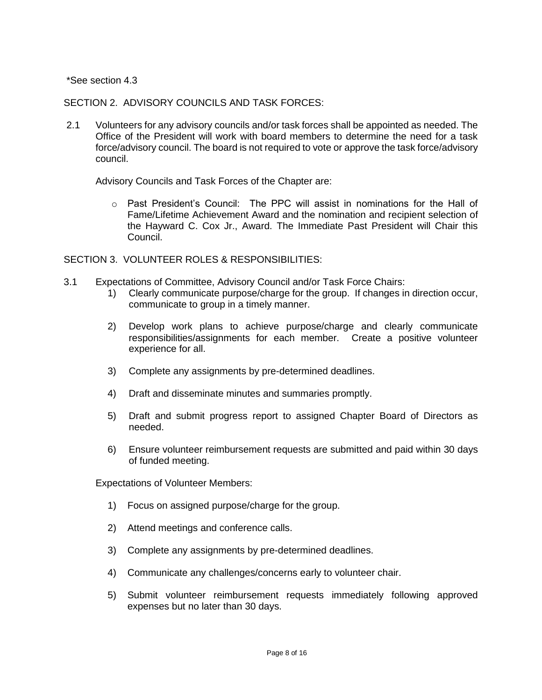\*See section 4.3

SECTION 2. ADVISORY COUNCILS AND TASK FORCES:

2.1 Volunteers for any advisory councils and/or task forces shall be appointed as needed. The Office of the President will work with board members to determine the need for a task force/advisory council. The board is not required to vote or approve the task force/advisory council.

Advisory Councils and Task Forces of the Chapter are:

o Past President's Council: The PPC will assist in nominations for the Hall of Fame/Lifetime Achievement Award and the nomination and recipient selection of the Hayward C. Cox Jr., Award. The Immediate Past President will Chair this Council.

SECTION 3. VOLUNTEER ROLES & RESPONSIBILITIES:

- 3.1 Expectations of Committee, Advisory Council and/or Task Force Chairs:
	- 1) Clearly communicate purpose/charge for the group. If changes in direction occur, communicate to group in a timely manner.
	- 2) Develop work plans to achieve purpose/charge and clearly communicate responsibilities/assignments for each member. Create a positive volunteer experience for all.
	- 3) Complete any assignments by pre-determined deadlines.
	- 4) Draft and disseminate minutes and summaries promptly.
	- 5) Draft and submit progress report to assigned Chapter Board of Directors as needed.
	- 6) Ensure volunteer reimbursement requests are submitted and paid within 30 days of funded meeting.

Expectations of Volunteer Members:

- 1) Focus on assigned purpose/charge for the group.
- 2) Attend meetings and conference calls.
- 3) Complete any assignments by pre-determined deadlines.
- 4) Communicate any challenges/concerns early to volunteer chair.
- 5) Submit volunteer reimbursement requests immediately following approved expenses but no later than 30 days.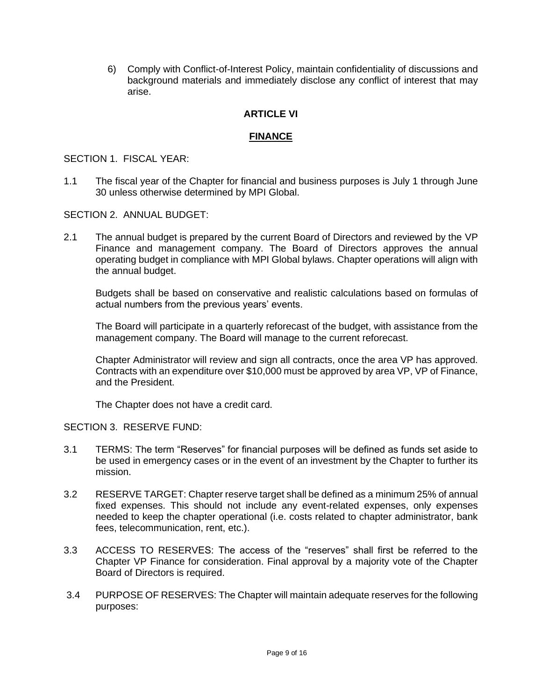6) Comply with Conflict-of-Interest Policy, maintain confidentiality of discussions and background materials and immediately disclose any conflict of interest that may arise.

### **ARTICLE VI**

#### **FINANCE**

#### SECTION 1. FISCAL YEAR:

1.1 The fiscal year of the Chapter for financial and business purposes is July 1 through June 30 unless otherwise determined by MPI Global.

SECTION 2. ANNUAL BUDGET:

2.1 The annual budget is prepared by the current Board of Directors and reviewed by the VP Finance and management company. The Board of Directors approves the annual operating budget in compliance with MPI Global bylaws. Chapter operations will align with the annual budget.

Budgets shall be based on conservative and realistic calculations based on formulas of actual numbers from the previous years' events.

The Board will participate in a quarterly reforecast of the budget, with assistance from the management company. The Board will manage to the current reforecast.

Chapter Administrator will review and sign all contracts, once the area VP has approved. Contracts with an expenditure over \$10,000 must be approved by area VP, VP of Finance, and the President.

The Chapter does not have a credit card.

SECTION 3. RESERVE FUND:

- 3.1 TERMS: The term "Reserves" for financial purposes will be defined as funds set aside to be used in emergency cases or in the event of an investment by the Chapter to further its mission.
- 3.2 RESERVE TARGET: Chapter reserve target shall be defined as a minimum 25% of annual fixed expenses. This should not include any event-related expenses, only expenses needed to keep the chapter operational (i.e. costs related to chapter administrator, bank fees, telecommunication, rent, etc.).
- 3.3 ACCESS TO RESERVES: The access of the "reserves" shall first be referred to the Chapter VP Finance for consideration. Final approval by a majority vote of the Chapter Board of Directors is required.
- 3.4 PURPOSE OF RESERVES: The Chapter will maintain adequate reserves for the following purposes: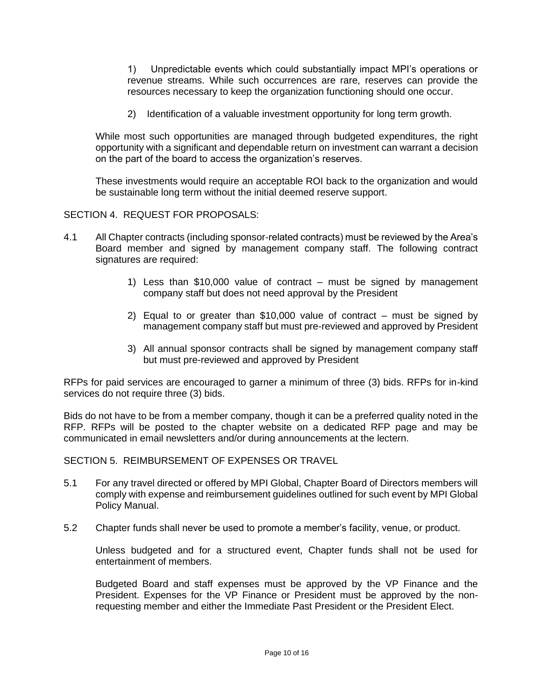1) Unpredictable events which could substantially impact MPI's operations or revenue streams. While such occurrences are rare, reserves can provide the resources necessary to keep the organization functioning should one occur.

2) Identification of a valuable investment opportunity for long term growth.

While most such opportunities are managed through budgeted expenditures, the right opportunity with a significant and dependable return on investment can warrant a decision on the part of the board to access the organization's reserves.

These investments would require an acceptable ROI back to the organization and would be sustainable long term without the initial deemed reserve support.

SECTION 4. REQUEST FOR PROPOSALS:

- 4.1 All Chapter contracts (including sponsor-related contracts) must be reviewed by the Area's Board member and signed by management company staff. The following contract signatures are required:
	- 1) Less than \$10,000 value of contract must be signed by management company staff but does not need approval by the President
	- 2) Equal to or greater than \$10,000 value of contract must be signed by management company staff but must pre-reviewed and approved by President
	- 3) All annual sponsor contracts shall be signed by management company staff but must pre-reviewed and approved by President

RFPs for paid services are encouraged to garner a minimum of three (3) bids. RFPs for in-kind services do not require three (3) bids.

Bids do not have to be from a member company, though it can be a preferred quality noted in the RFP. RFPs will be posted to the chapter website on a dedicated RFP page and may be communicated in email newsletters and/or during announcements at the lectern.

SECTION 5. REIMBURSEMENT OF EXPENSES OR TRAVEL

- 5.1 For any travel directed or offered by MPI Global, Chapter Board of Directors members will comply with expense and reimbursement guidelines outlined for such event by MPI Global Policy Manual.
- 5.2 Chapter funds shall never be used to promote a member's facility, venue, or product.

Unless budgeted and for a structured event, Chapter funds shall not be used for entertainment of members.

Budgeted Board and staff expenses must be approved by the VP Finance and the President. Expenses for the VP Finance or President must be approved by the nonrequesting member and either the Immediate Past President or the President Elect.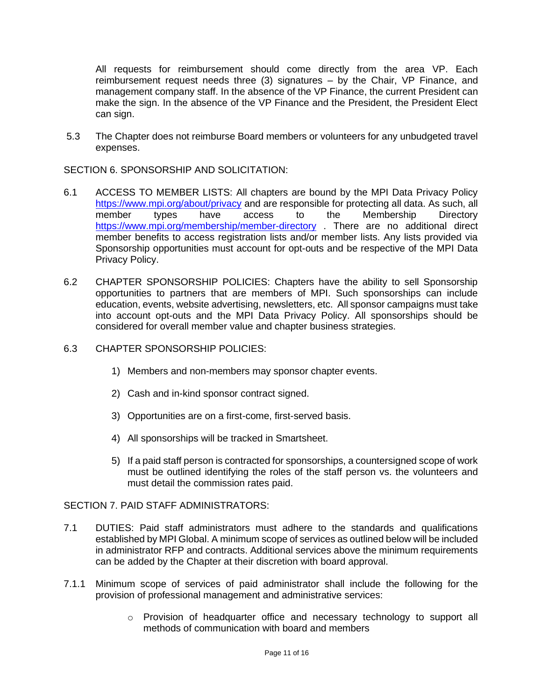All requests for reimbursement should come directly from the area VP. Each reimbursement request needs three (3) signatures – by the Chair, VP Finance, and management company staff. In the absence of the VP Finance, the current President can make the sign. In the absence of the VP Finance and the President, the President Elect can sign.

5.3 The Chapter does not reimburse Board members or volunteers for any unbudgeted travel expenses.

SECTION 6. SPONSORSHIP AND SOLICITATION:

- 6.1 ACCESS TO MEMBER LISTS: All chapters are bound by the MPI Data Privacy Polic[y](https://www.mpi.org/about/privacy) <https://www.mpi.org/about/privacy> and are responsible for protecting all data. As such, all member types have access to the Membership Director[y](https://www.mpi.org/membership/member-directory) <https://www.mpi.org/membership/member-directory> . There are no additional direct member benefits to access registration lists and/or member lists. Any lists provided via Sponsorship opportunities must account for opt-outs and be respective of the MPI Data Privacy Policy.
- 6.2 CHAPTER SPONSORSHIP POLICIES: Chapters have the ability to sell Sponsorship opportunities to partners that are members of MPI. Such sponsorships can include education, events, website advertising, newsletters, etc. All sponsor campaigns must take into account opt-outs and the MPI Data Privacy Policy. All sponsorships should be considered for overall member value and chapter business strategies.
- 6.3 CHAPTER SPONSORSHIP POLICIES:
	- 1) Members and non-members may sponsor chapter events.
	- 2) Cash and in-kind sponsor contract signed.
	- 3) Opportunities are on a first-come, first-served basis.
	- 4) All sponsorships will be tracked in Smartsheet.
	- 5) If a paid staff person is contracted for sponsorships, a countersigned scope of work must be outlined identifying the roles of the staff person vs. the volunteers and must detail the commission rates paid.

## SECTION 7. PAID STAFF ADMINISTRATORS:

- 7.1 DUTIES: Paid staff administrators must adhere to the standards and qualifications established by MPI Global. A minimum scope of services as outlined below will be included in administrator RFP and contracts. Additional services above the minimum requirements can be added by the Chapter at their discretion with board approval.
- 7.1.1 Minimum scope of services of paid administrator shall include the following for the provision of professional management and administrative services:
	- o Provision of headquarter office and necessary technology to support all methods of communication with board and members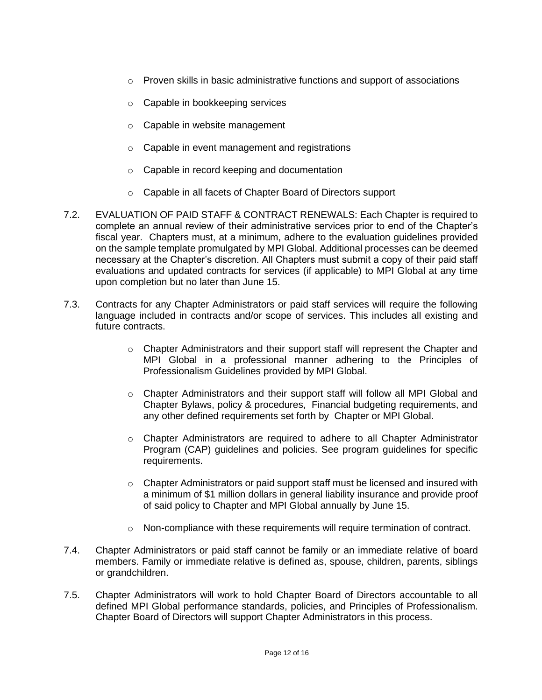- $\circ$  Proven skills in basic administrative functions and support of associations
- o Capable in bookkeeping services
- o Capable in website management
- o Capable in event management and registrations
- o Capable in record keeping and documentation
- o Capable in all facets of Chapter Board of Directors support
- 7.2. EVALUATION OF PAID STAFF & CONTRACT RENEWALS: Each Chapter is required to complete an annual review of their administrative services prior to end of the Chapter's fiscal year. Chapters must, at a minimum, adhere to the evaluation guidelines provided on the sample template promulgated by MPI Global. Additional processes can be deemed necessary at the Chapter's discretion. All Chapters must submit a copy of their paid staff evaluations and updated contracts for services (if applicable) to MPI Global at any time upon completion but no later than June 15.
- 7.3. Contracts for any Chapter Administrators or paid staff services will require the following language included in contracts and/or scope of services. This includes all existing and future contracts.
	- $\circ$  Chapter Administrators and their support staff will represent the Chapter and MPI Global in a professional manner adhering to the Principles of Professionalism Guidelines provided by MPI Global.
	- o Chapter Administrators and their support staff will follow all MPI Global and Chapter Bylaws, policy & procedures, Financial budgeting requirements, and any other defined requirements set forth by Chapter or MPI Global.
	- o Chapter Administrators are required to adhere to all Chapter Administrator Program (CAP) guidelines and policies. See program guidelines for specific requirements.
	- $\circ$  Chapter Administrators or paid support staff must be licensed and insured with a minimum of \$1 million dollars in general liability insurance and provide proof of said policy to Chapter and MPI Global annually by June 15.
	- $\circ$  Non-compliance with these requirements will require termination of contract.
- 7.4. Chapter Administrators or paid staff cannot be family or an immediate relative of board members. Family or immediate relative is defined as, spouse, children, parents, siblings or grandchildren.
- 7.5. Chapter Administrators will work to hold Chapter Board of Directors accountable to all defined MPI Global performance standards, policies, and Principles of Professionalism. Chapter Board of Directors will support Chapter Administrators in this process.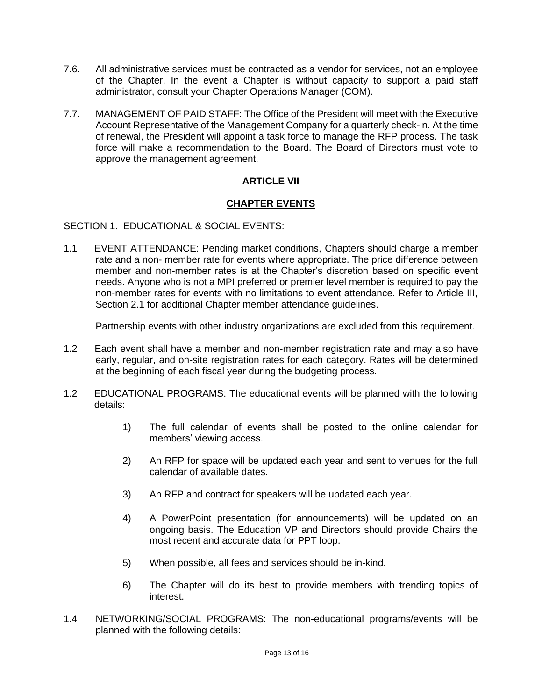- 7.6. All administrative services must be contracted as a vendor for services, not an employee of the Chapter. In the event a Chapter is without capacity to support a paid staff administrator, consult your Chapter Operations Manager (COM).
- 7.7. MANAGEMENT OF PAID STAFF: The Office of the President will meet with the Executive Account Representative of the Management Company for a quarterly check-in. At the time of renewal, the President will appoint a task force to manage the RFP process. The task force will make a recommendation to the Board. The Board of Directors must vote to approve the management agreement.

# **ARTICLE VII**

## **CHAPTER EVENTS**

SECTION 1. EDUCATIONAL & SOCIAL EVENTS:

1.1 EVENT ATTENDANCE: Pending market conditions, Chapters should charge a member rate and a non- member rate for events where appropriate. The price difference between member and non-member rates is at the Chapter's discretion based on specific event needs. Anyone who is not a MPI preferred or premier level member is required to pay the non-member rates for events with no limitations to event attendance. Refer to Article III, Section 2.1 for additional Chapter member attendance guidelines.

Partnership events with other industry organizations are excluded from this requirement.

- 1.2 Each event shall have a member and non-member registration rate and may also have early, regular, and on-site registration rates for each category. Rates will be determined at the beginning of each fiscal year during the budgeting process.
- 1.2 EDUCATIONAL PROGRAMS: The educational events will be planned with the following details:
	- 1) The full calendar of events shall be posted to the online calendar for members' viewing access.
	- 2) An RFP for space will be updated each year and sent to venues for the full calendar of available dates.
	- 3) An RFP and contract for speakers will be updated each year.
	- 4) A PowerPoint presentation (for announcements) will be updated on an ongoing basis. The Education VP and Directors should provide Chairs the most recent and accurate data for PPT loop.
	- 5) When possible, all fees and services should be in-kind.
	- 6) The Chapter will do its best to provide members with trending topics of interest.
- 1.4 NETWORKING/SOCIAL PROGRAMS: The non-educational programs/events will be planned with the following details: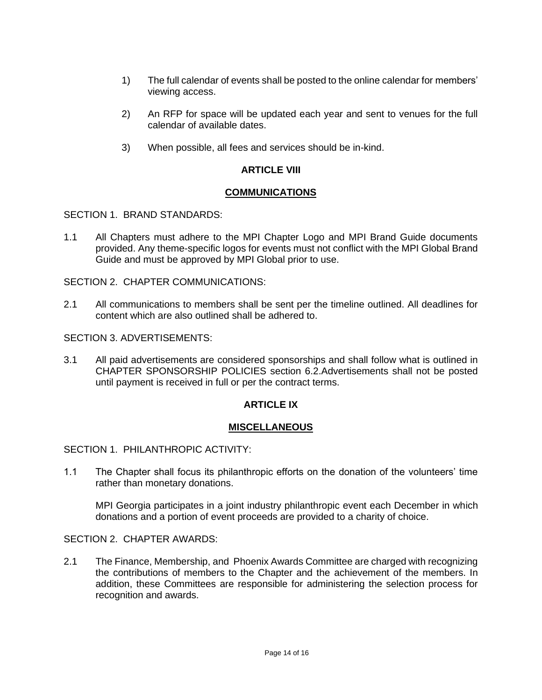- 1) The full calendar of events shall be posted to the online calendar for members' viewing access.
- 2) An RFP for space will be updated each year and sent to venues for the full calendar of available dates.
- 3) When possible, all fees and services should be in-kind.

#### **ARTICLE VIII**

#### **COMMUNICATIONS**

SECTION 1. BRAND STANDARDS:

1.1 All Chapters must adhere to the MPI Chapter Logo and MPI Brand Guide documents provided. Any theme-specific logos for events must not conflict with the MPI Global Brand Guide and must be approved by MPI Global prior to use.

SECTION 2. CHAPTER COMMUNICATIONS:

2.1 All communications to members shall be sent per the timeline outlined. All deadlines for content which are also outlined shall be adhered to.

SECTION 3. ADVERTISEMENTS:

3.1 All paid advertisements are considered sponsorships and shall follow what is outlined in CHAPTER SPONSORSHIP POLICIES section 6.2.Advertisements shall not be posted until payment is received in full or per the contract terms.

## **ARTICLE IX**

#### **MISCELLANEOUS**

SECTION 1. PHILANTHROPIC ACTIVITY:

1.1 The Chapter shall focus its philanthropic efforts on the donation of the volunteers' time rather than monetary donations.

MPI Georgia participates in a joint industry philanthropic event each December in which donations and a portion of event proceeds are provided to a charity of choice.

#### SECTION 2. CHAPTER AWARDS:

2.1 The Finance, Membership, and Phoenix Awards Committee are charged with recognizing the contributions of members to the Chapter and the achievement of the members. In addition, these Committees are responsible for administering the selection process for recognition and awards.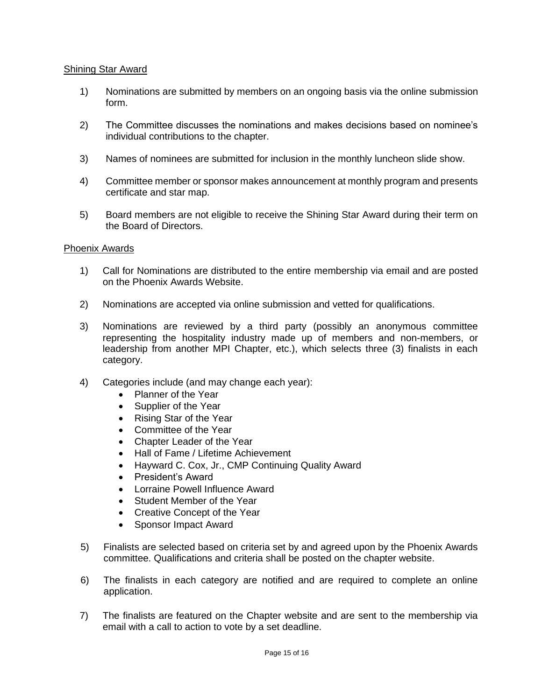#### Shining Star Award

- 1) Nominations are submitted by members on an ongoing basis via the online submission form.
- 2) The Committee discusses the nominations and makes decisions based on nominee's individual contributions to the chapter.
- 3) Names of nominees are submitted for inclusion in the monthly luncheon slide show.
- 4) Committee member or sponsor makes announcement at monthly program and presents certificate and star map.
- 5) Board members are not eligible to receive the Shining Star Award during their term on the Board of Directors.

#### Phoenix Awards

- 1) Call for Nominations are distributed to the entire membership via email and are posted on the Phoenix Awards Website.
- 2) Nominations are accepted via online submission and vetted for qualifications.
- 3) Nominations are reviewed by a third party (possibly an anonymous committee representing the hospitality industry made up of members and non-members, or leadership from another MPI Chapter, etc.), which selects three (3) finalists in each category.
- 4) Categories include (and may change each year):
	- Planner of the Year
	- Supplier of the Year
	- Rising Star of the Year
	- Committee of the Year
	- Chapter Leader of the Year
	- Hall of Fame / Lifetime Achievement
	- Hayward C. Cox, Jr., CMP Continuing Quality Award
	- President's Award
	- Lorraine Powell Influence Award
	- Student Member of the Year
	- Creative Concept of the Year
	- Sponsor Impact Award
- 5) Finalists are selected based on criteria set by and agreed upon by the Phoenix Awards committee. Qualifications and criteria shall be posted on the chapter website.
- 6) The finalists in each category are notified and are required to complete an online application.
- 7) The finalists are featured on the Chapter website and are sent to the membership via email with a call to action to vote by a set deadline.